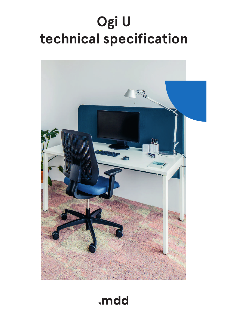# **Ogi U technical specification**



## .mdd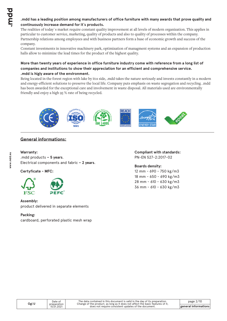#### **.mdd has a leading position among manufacturers of office furniture with many awards that prove quality and continuously increase demand for it`s products.**

The realities of today`s market require constant quality improvement at all levels of modern organization. This applies in particular to customer service, marketing, quality of products and also to quality of processes within the company. Partnership relations among employees and with business partners form a base of economic growth and success of the company.

Constant investments in innovative machinery park, optimization of managment systems and an expansion of production halls allow to minimize the lead times for the product of the highest quality.

#### **More than twenty years of experience in office furniture industry come with reference from a long list of companies and institutions to show their appreciation for an efficient and comprehensive service. .mdd is higly aware of the environment.**

Being located in the forest region with lake by it1s side, .mdd takes the nature seriously and invests constantly in a modern and energy-efficient solutions to preserve the local life. Company puts emphasis on waste segregation and recycling. .mdd has been awarded for the exceptional care and involvement in waste disposal. All materials used are environmentally friendly and enjoy a high 95 % rate of being recycled.



### **General informations:**

### **Warranty :**

.mdd products **– 5 years**. Electrical components and fabric **– 2 years**.

**Certyficate - MFC:**



#### **Assembly:**

product delivered in separate elements

#### **Packing :**

cardboard, perforated plastic mesh wrap

**Compliant with standards:** PN-EN 527-2:2017-02

**Boards density:**

12 mm - 690 - 750 kg/m3 18 mm - 650 - 690 kg/m3 28 mm - 610 - 630 kg/m3 36 mm - 610 - 630 kg/m3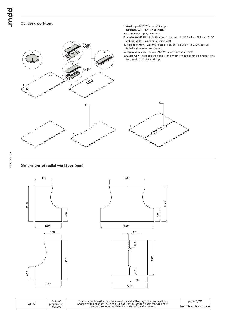bpur

#### **Ogi desk worktops**



**1. Worktop -** MFC 28 mm, ABS edge

#### **Dimensions of radial worktops (mm)**



**Ogi U**



| Date of<br>preparation<br>15.01.2021 | The dat<br>Change o |
|--------------------------------------|---------------------|
|                                      |                     |

The data contained in this document is valid in the day of its preparation.<br>Change of the product, as long as it does not affect the basic features of it,<br>does not require consistent updates of the document.

page 3/10 **technical description**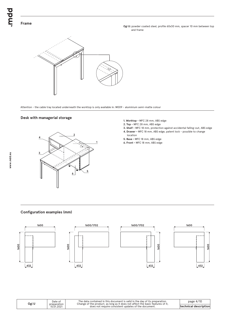**Ogi U:** powder coated steel, profile 60x30 mm, spacer 10 mm between top and frame



Attention - the cable tray located underneath the worktop is only available in: M009 - aluminium semi-matte colour

#### **Desk with managerial storage**



- **1. Worktop** MFC 28 mm, ABS edge
- **2. Top** MFC 28 mm, ABS edge
- **3. Shelf** MFC 18 mm, protection against accidental falling-out, ABS edge **4. Drawer -** MFC 18 mm, ABS edge, patent lock - possible to change
- location **5. Base -** MFC 18 mm, ABS edge
- **6. Front** MFC 18 mm, ABS edge

#### **Configuration examples (mm)**









**description** 

| Ogi U | Date of                   | The data contained in this document is valid in the day of its preparation.<br>Change of the product, as long as it does not affect the basic features of it. | page 4/10         |
|-------|---------------------------|---------------------------------------------------------------------------------------------------------------------------------------------------------------|-------------------|
|       | preparation<br>15.01.2021 | does not require consistent updates of the document.                                                                                                          | Itechnical descri |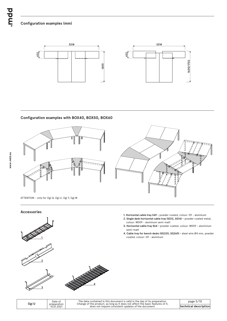### **Configuration examples (mm)**





#### **Configuration examples with BOX40, BOX50, BOX60**



ATTENTION – only for Ogi Q, Ogi U, Ogi Y, Ogi M

#### **Accessories**







- **1. Horizontal cable tray S69** powder coated, colour: 09 aluminum
- **2. Single desk horizontal cable tray (SG12, SG16)** powder coated metal, colour: M009 - aluminum semi-matt
- **3. Horizontal cable tray E64** powder coated, colour: M009 aluminium semi-matt
- **4. Cable tray for bench desks (SG220, SG260) s**teel wire Ø4 mm, powder coated, colour: 09 - aluminum

|  | Ogi U                     | Date of                                              | The data contained in this document is valid in the day of its preparation.<br>Change of the product, as long as it does not affect the basic features of it, | page 5/10 |
|--|---------------------------|------------------------------------------------------|---------------------------------------------------------------------------------------------------------------------------------------------------------------|-----------|
|  | preparation<br>15.01.2021 | does not require consistent updates of the document. | <b>Itechnical description</b>                                                                                                                                 |           |
|  |                           |                                                      |                                                                                                                                                               |           |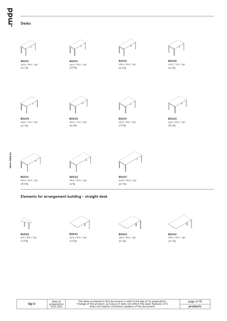bpun.

#### **Desks**



1200 / 600 / 740 **BOU12** 29.7 kg



**BOU14** 1400 / 600 / 740<br>32.8 kg



**BOU16** 1600 / 600 / 740 32.8 kg 35.9 kg 32.3 kg



**BOU28** 1200 / 700 / 740



1400 / 700 / 740 **BOU29** 35.7 kg



**BOU30** 1600 / 700 / 740



**BOU19** 1200 / 800 / 740 39.3 kg 37.8 kg 38.3 kg



**BOU20** 1400 / 800 / 740<br>38.3 kg

**BOU21** 1600 / 800 / 740 38.9 kg



**BOU22** 1800 / 800 / 740 42 kg



**BOU27** 2000 / 800 / 740 49.7 kg

#### **Elements for arrangement building - straight desk**



**BOX40** 500 / 800 / 740



**BOX42** 1200 / 800 / 740 10.8 kg 32.7 kg 32.7 kg 32.7 kg 32.8 kg 32.7 kg 32.8 kg 32.7 kg 32.7 kg 32.7 kg 32.7 kg 32.7 kg 32.7 kg 32.7 kg



**BOX43** 1400 / 800 / 740

| $\overline{\phantom{a}}$<br>ı |
|-------------------------------|

**BOX44** 1600 / 800 / 740

|       | Date of     |
|-------|-------------|
| Ogi U | preparation |
|       | 15.01.2021  |

The data contained in this document is valid in the day of its preparation.<br>Change of the product, as long as it does not affect the basic features of it,<br>does not require consistent updates of the document.

page 6/10 **products**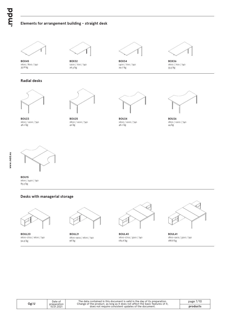#### **Elements for arrangement building - straight desk**



**BOX45** 1600 / 800 / 740

**BOX32** 1200 / 700 / 740<br>26.3 kg

**BOX34** 1400 / 700 / 740 35.8 kg 26.3 kg 29.7 kg 33.3 kg



**BOX36** 1600 / 700 / 740<br>33.3 kg

#### **Radial desks**



**BOU23** 1600 / 1200 / 740



**BOU25** 1800 / 1200 / 740



**BOU24** 1600 / 1200 / 740 46.1 kg 42 kg 46.1 kg 44 kg



**BOU26** 1800 / 1200 / 740



**BOU15** 1600 / 2410 / 740 85.5 kg

#### **Desks with managerial storage**



92.9 kg 188.8 kg 188.8 kg 182.6 kg 182.6 kg 182.6 kg 182.9 kg 188.8 kg 188.8 kg 189.9 kg 189.8 kg 189.9 kg 18 **BOUL20** 1600-1702 / 1600 / 740

**Ogi U**



**BOUL21** 1800-1902 / 1600 / 740



**BOUL40** 1600-1702 / 3210 / 740



**BOUL41** 1800-1902 / 3210 / 740

| Date of     |
|-------------|
| preparation |
| 15.01.2021  |

The data contained in this document is valid in the day of its preparation.<br>Change of the product, as long as it does not affect the basic features of it,<br>does not require consistent updates of the document.

page 7/10 **products**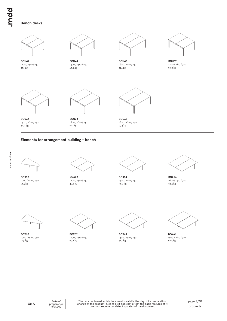#### **Bench desks**



**BOU42** 1200 / 1410 / 740



**BOU33** 1400 / 1610 / 740



**BOU34** 1600 / 1610 / 740<br>71.1 kg 69.9 kg 71.1 kg 77.3 kg

**BOU44** 1400 / 1410 / 740

#### **Elements for arrangement building - bench**





**BOX50** 1000 / 1410 / 740



**BOX52** 1200 / 1410 / 740 16.5 kg 63.4 kg 49.4 kg 56.2 kg 56.2 kg 63.4 kg 63.4 kg 63.4 kg 63.4 kg 63.4 kg 63.4 kg 63.4 kg 63.4 kg 63.4 kg 63.4 kg 63.4 kg 63.4 kg 63.4 kg 63.4 kg 63.4 kg 63.4 kg 63.4 kg 63.4 kg 63.4 kg 63.4 kg 63.4 kg 63.4 kg 63.4 k



**BOU46** 1600 / 1410 / 740 57.1 kg 68.9 kg 63.9 kg 63.9 kg 71.1 kg 71.1 kg 68.9 kg 68.9 kg 68.9 kg 68.9 kg 68.9 kg 68.9 kg 68.9 kg 68.9 kg 68.9 kg 68.9 kg 68.9 kg 68.9 kg 68.9 kg 68.9 kg 68.9 kg 68.9 kg 68.9 kg 68.9 kg 68.9 kg 68.9 kg 68.9 kg 68.9 k



**BOU35** 1800 / 1610 / 740



**BOX54** 1400 / 1410 / 740



**BOX56** 1600 / 1410 / 740



**BOX60** 1000 / 1610 / 740<br>17.5 kg 1000 / 1610 / 740 1600 / 1610 / 1610 / 740 1600 / 1610 / 740 1600 / 1610 / 740 1600 / 1610 / 740 175 kg 62.3 kg 62.3 kg 63.3 kg 63.3 kg 63.3 kg 63.3 kg 63.3 kg 63.3 kg 63.3 kg 63.3 kg 63.3 kg 63.3 kg 63.3 kg 63.3 kg 63.3 k



**BOX62** 1200 / 1610 / 740<br>60.1 kg



**BOX64**



**BOX66** 1600 / 1610 / 740<br>62.3 kg

| Ogi U | Date of<br>preparation<br>15.01.2021 |
|-------|--------------------------------------|
|       |                                      |

The data contained in this document is valid in the day of its preparation.<br>Change of the product, as long as it does not affect the basic features of it,<br>does not require consistent updates of the document.

page 8/10 **products**

**BOU32** 1200 / 1610 / 740<br>68.9 kg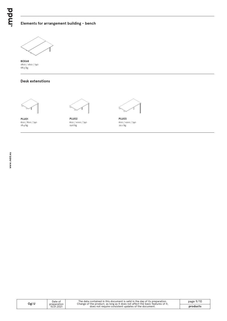#### **Elements for arrangement building - bench**



**BOX68** 1800 / 1610 / 740 68.5 kg

#### **Desk extenstions**



**PLU01** 600 / 800 / 740<br>18.4 kg



**PLU02** 600 / 1000 / 740 18.4 kg 22.1 kg 19.6 kg 22.1 kg 22.1 kg 22.1 kg 22.2 kg 22.1 kg 22.2 kg 22.2 kg 22.1 kg 22.2 kg 22.2 kg 22.1 kg



**PLU03** 600 / 1200 / 740

| Ogi U | Date of<br>preparation<br>15.01.2021 | The data contained in this document is valid in the day of its preparation.<br>Change of the product, as long as it does not affect the basic features of it, | page $9/10$ |
|-------|--------------------------------------|---------------------------------------------------------------------------------------------------------------------------------------------------------------|-------------|
|       |                                      | does not require consistent updates of the document.                                                                                                          | products    |